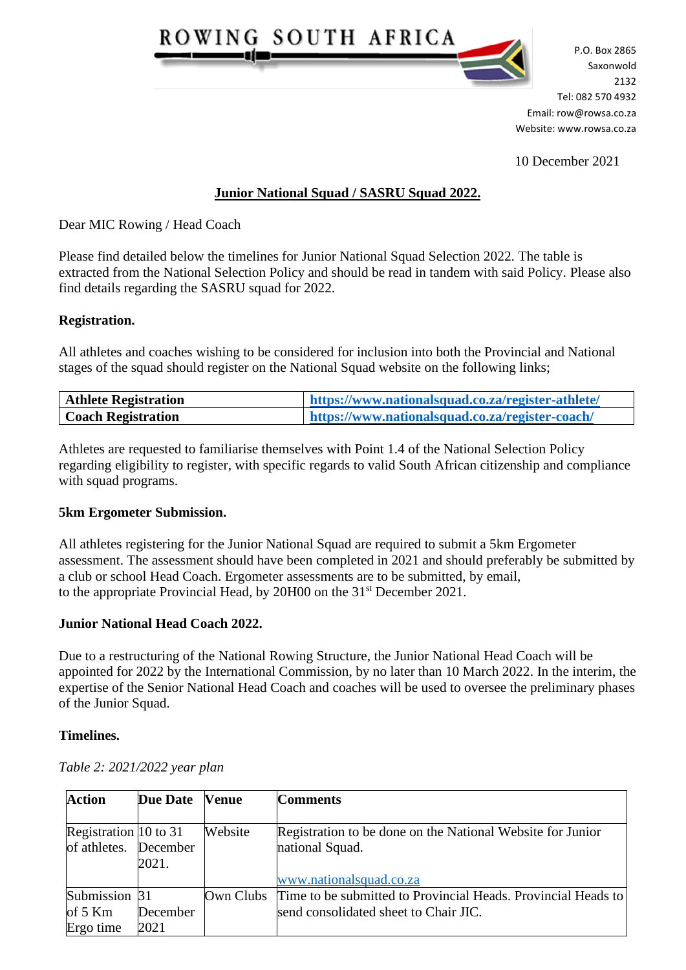

P.O. Box 2865 Saxonwold  $R = 2132$ Tel: 082 570 4932 Email: row@rowsa.co.za Website: www.rowsa.co.za

10 December 2021

# **Junior National Squad / SASRU Squad 2022.**

Dear MIC Rowing / Head Coach

Please find detailed below the timelines for Junior National Squad Selection 2022. The table is extracted from the National Selection Policy and should be read in tandem with said Policy. Please also find details regarding the SASRU squad for 2022.

#### **Registration.**

All athletes and coaches wishing to be considered for inclusion into both the Provincial and National stages of the squad should register on the National Squad website on the following links;

| <b>Athlete Registration</b> | https://www.nationalsquad.co.za/register-athlete/ |
|-----------------------------|---------------------------------------------------|
| <b>Coach Registration</b>   | https://www.nationalsquad.co.za/register-coach/   |

Athletes are requested to familiarise themselves with Point 1.4 of the National Selection Policy regarding eligibility to register, with specific regards to valid South African citizenship and compliance with squad programs.

## **5km Ergometer Submission.**

All athletes registering for the Junior National Squad are required to submit a 5km Ergometer assessment. The assessment should have been completed in 2021 and should preferably be submitted by a club or school Head Coach. Ergometer assessments are to be submitted, by email, to the appropriate Provincial Head, by 20H00 on the 31st December 2021.

## **Junior National Head Coach 2022.**

Due to a restructuring of the National Rowing Structure, the Junior National Head Coach will be appointed for 2022 by the International Commission, by no later than 10 March 2022. In the interim, the expertise of the Senior National Head Coach and coaches will be used to oversee the preliminary phases of the Junior Squad.

## **Timelines.**

| Table 2: 2021/2022 year plan |  |
|------------------------------|--|
|------------------------------|--|

| <b>Action</b>                                              | Due Date Venue |         | <b>Comments</b>                                                               |
|------------------------------------------------------------|----------------|---------|-------------------------------------------------------------------------------|
| Registration $ 10 \text{ to } 31$<br>of athletes. December | 2021.          | Website | Registration to be done on the National Website for Junior<br>national Squad. |
|                                                            |                |         | www.nationalsquad.co.za                                                       |
| Submission 31                                              |                |         | Own Clubs Time to be submitted to Provincial Heads. Provincial Heads to       |
| of $5 \text{ Km}$                                          | December       |         | send consolidated sheet to Chair JIC.                                         |
| Ergo time                                                  | 2021           |         |                                                                               |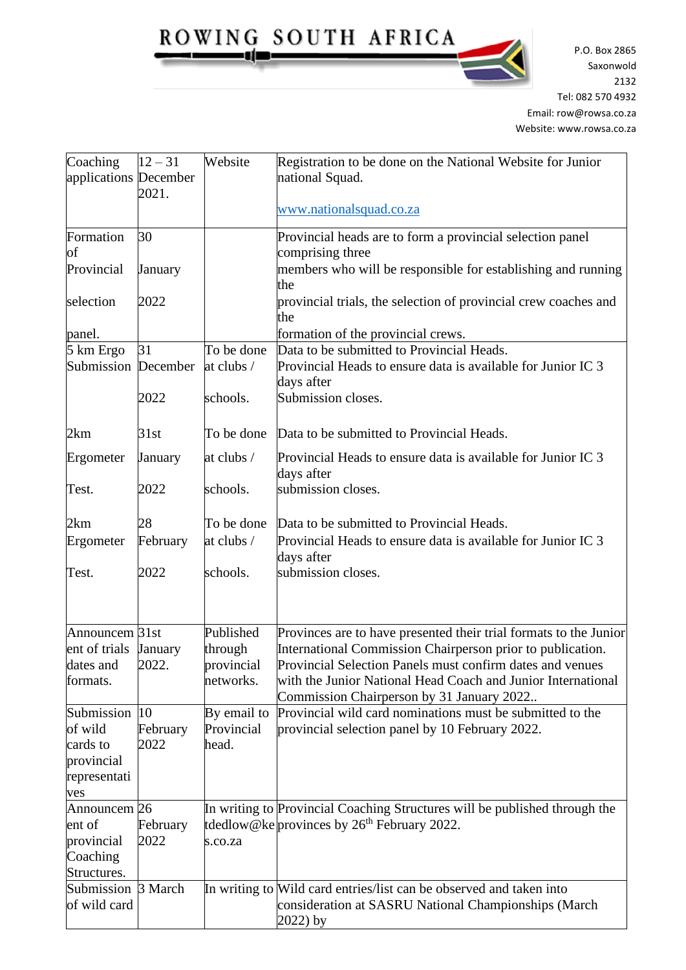ROWING SOUTH AFRICA <u>، صزت - </u>

P.O. Box 2865 Saxonwold  $R = 2132$ Tel: 082 570 4932 Email: row@rowsa.co.za Website: www.rowsa.co.za

| Coaching                   | $12 - 31$ | Website     | Registration to be done on the National Website for Junior                                                                   |
|----------------------------|-----------|-------------|------------------------------------------------------------------------------------------------------------------------------|
| applications December      |           |             | national Squad.                                                                                                              |
|                            | 2021.     |             | www.nationalsquad.co.za                                                                                                      |
| Formation                  | 30        |             | Provincial heads are to form a provincial selection panel                                                                    |
| of                         |           |             | comprising three                                                                                                             |
| Provincial                 | January   |             | members who will be responsible for establishing and running<br>the                                                          |
| selection                  | 2022      |             | provincial trials, the selection of provincial crew coaches and<br>the                                                       |
| panel.                     |           |             | formation of the provincial crews.                                                                                           |
| 5 km Ergo                  | 31        | To be done  | Data to be submitted to Provincial Heads.                                                                                    |
| Submission December        |           | at clubs /  | Provincial Heads to ensure data is available for Junior IC 3<br>days after                                                   |
|                            | 2022      | schools.    | Submission closes.                                                                                                           |
| 2km                        | 31st      | To be done  | Data to be submitted to Provincial Heads.                                                                                    |
| Ergometer                  | January   | at clubs /  | Provincial Heads to ensure data is available for Junior IC 3<br>days after                                                   |
| Test.                      | 2022      | schools.    | submission closes.                                                                                                           |
| 2km                        | 28        | To be done  | Data to be submitted to Provincial Heads.                                                                                    |
| Ergometer                  | February  | at clubs /  | Provincial Heads to ensure data is available for Junior IC 3<br>days after                                                   |
| Test.                      | 2022      | schools.    | submission closes.                                                                                                           |
| Announcem 31st             |           | Published   | Provinces are to have presented their trial formats to the Junior                                                            |
| ent of trials              | January   | through     | International Commission Chairperson prior to publication.                                                                   |
| dates and                  | 2022.     | provincial  | Provincial Selection Panels must confirm dates and venues                                                                    |
| formats.                   |           | networks.   | with the Junior National Head Coach and Junior International<br>Commission Chairperson by 31 January 2022                    |
| Submission 10              |           | By email to | Provincial wild card nominations must be submitted to the                                                                    |
| of wild                    | February  | Provincial  | provincial selection panel by 10 February 2022.                                                                              |
| cards to                   | 2022      | head.       |                                                                                                                              |
| provincial                 |           |             |                                                                                                                              |
| representati<br>ves        |           |             |                                                                                                                              |
| Announcem <sub>26</sub>    |           |             | In writing to Provincial Coaching Structures will be published through the                                                   |
| ent of                     | February  |             | tdedlow@ke $prov$ inces by $26th$ February 2022.                                                                             |
| provincial                 | 2022      | s.co.za     |                                                                                                                              |
| Coaching                   |           |             |                                                                                                                              |
| Structures.                |           |             |                                                                                                                              |
| Submission<br>of wild card | 3 March   |             | In writing to Wild card entries/list can be observed and taken into<br>consideration at SASRU National Championships (March) |
|                            |           |             | 2022) by                                                                                                                     |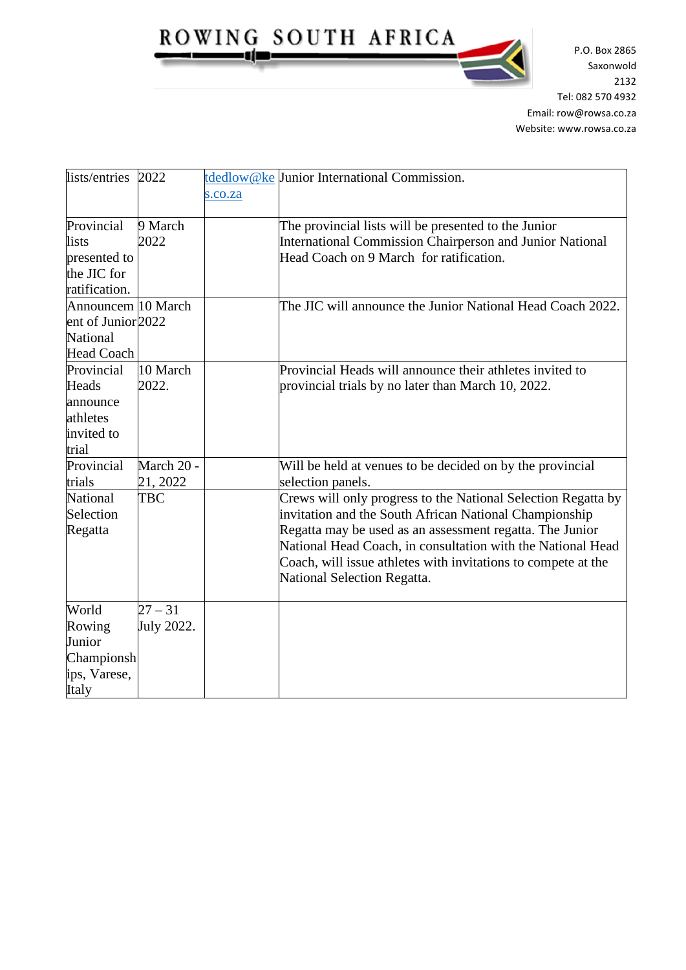ROWING SOUTH AFRICA gjur

P.O. Box 2865 Saxonwold  $R = 2132$ Tel: 082 570 4932 Email: row@rowsa.co.za Website: www.rowsa.co.za

| lists/entries 2022                                                               |                         | s.co.za | tdedlow@ke Junior International Commission.                                                                                                                                                                                                                                                                                                        |
|----------------------------------------------------------------------------------|-------------------------|---------|----------------------------------------------------------------------------------------------------------------------------------------------------------------------------------------------------------------------------------------------------------------------------------------------------------------------------------------------------|
| Provincial<br>lists<br>presented to<br>the JIC for<br>ratification.              | 9 March<br>2022         |         | The provincial lists will be presented to the Junior<br><b>International Commission Chairperson and Junior National</b><br>Head Coach on 9 March for ratification.                                                                                                                                                                                 |
| Announcem 10 March<br>ent of Junior 2022<br><b>National</b><br><b>Head Coach</b> |                         |         | The JIC will announce the Junior National Head Coach 2022.                                                                                                                                                                                                                                                                                         |
| Provincial<br>Heads<br>announce<br>athletes<br>invited to<br>trial               | 10 March<br>2022.       |         | Provincial Heads will announce their athletes invited to<br>provincial trials by no later than March 10, 2022.                                                                                                                                                                                                                                     |
| Provincial<br>trials                                                             | March 20 -<br>21, 2022  |         | Will be held at venues to be decided on by the provincial<br>selection panels.                                                                                                                                                                                                                                                                     |
| National<br>Selection<br>Regatta                                                 | <b>TBC</b>              |         | Crews will only progress to the National Selection Regatta by<br>invitation and the South African National Championship<br>Regatta may be used as an assessment regatta. The Junior<br>National Head Coach, in consultation with the National Head<br>Coach, will issue athletes with invitations to compete at the<br>National Selection Regatta. |
| World<br>Rowing<br>Junior<br>Championsh<br>ips, Varese,<br>Italy                 | $27 - 31$<br>July 2022. |         |                                                                                                                                                                                                                                                                                                                                                    |